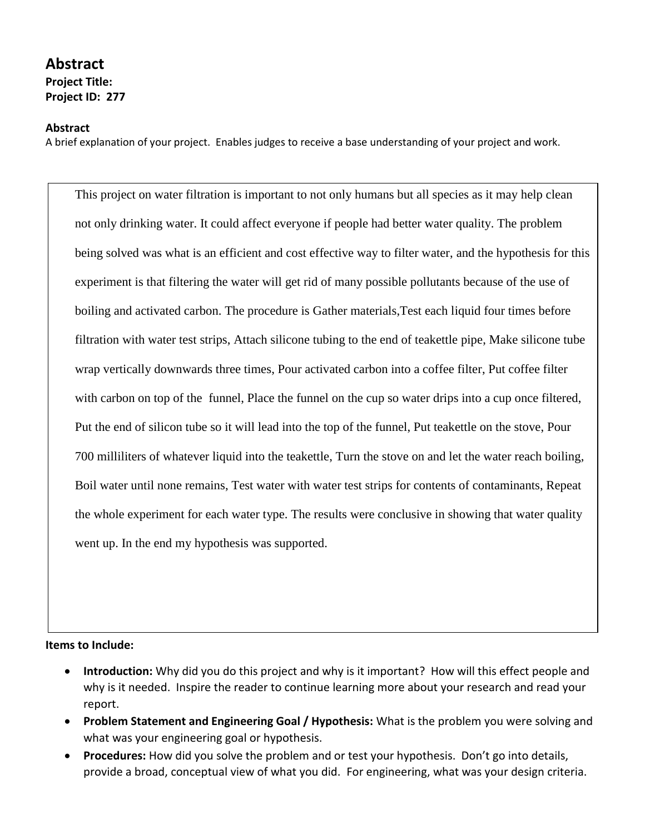## **Abstract Project Title:**

**Project ID: 277**

## **Abstract**

A brief explanation of your project. Enables judges to receive a base understanding of your project and work.

This project on water filtration is important to not only humans but all species as it may help clean not only drinking water. It could affect everyone if people had better water quality. The problem being solved was what is an efficient and cost effective way to filter water, and the hypothesis for this experiment is that filtering the water will get rid of many possible pollutants because of the use of boiling and activated carbon. The procedure is Gather materials,Test each liquid four times before filtration with water test strips, Attach silicone tubing to the end of teakettle pipe, Make silicone tube wrap vertically downwards three times, Pour activated carbon into a coffee filter, Put coffee filter with carbon on top of the funnel, Place the funnel on the cup so water drips into a cup once filtered, Put the end of silicon tube so it will lead into the top of the funnel, Put teakettle on the stove, Pour 700 milliliters of whatever liquid into the teakettle, Turn the stove on and let the water reach boiling, Boil water until none remains, Test water with water test strips for contents of contaminants, Repeat the whole experiment for each water type. The results were conclusive in showing that water quality went up. In the end my hypothesis was supported.

## **Items to Include:**

- **Introduction:** Why did you do this project and why is it important? How will this effect people and why is it needed. Inspire the reader to continue learning more about your research and read your report.
- **Problem Statement and Engineering Goal / Hypothesis:** What is the problem you were solving and what was your engineering goal or hypothesis.
- **Procedures:** How did you solve the problem and or test your hypothesis. Don't go into details, provide a broad, conceptual view of what you did. For engineering, what was your design criteria.